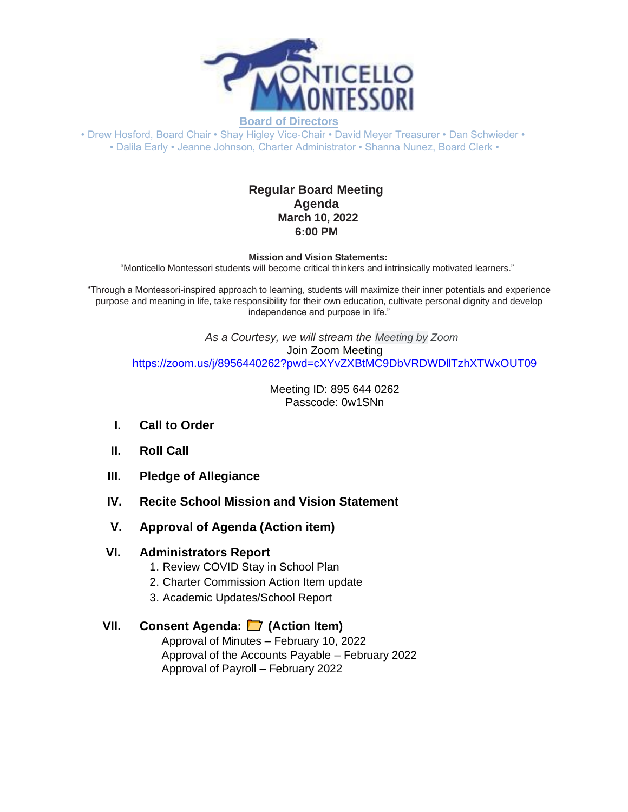

• Drew Hosford, Board Chair • Shay Higley Vice-Chair • David Meyer Treasurer • Dan Schwieder • • Dalila Early • Jeanne Johnson, Charter Administrator • Shanna Nunez, Board Clerk •

## **Regular Board Meeting Agenda March 10, 2022 6:00 PM**

**Mission and Vision Statements:**

"Monticello Montessori students will become critical thinkers and intrinsically motivated learners."

"Through a Montessori-inspired approach to learning, students will maximize their inner potentials and experience purpose and meaning in life, take responsibility for their own education, cultivate personal dignity and develop independence and purpose in life."

*As a Courtesy, we will stream the Meeting by Zoom* Join Zoom Meeting [https://zoom.us/j/8956440262?pwd=cXYvZXBtMC9DbVRDWDllTzhXTWxOUT09](https://www.google.com/url?q=https://zoom.us/j/8956440262?pwd%3DcXYvZXBtMC9DbVRDWDllTzhXTWxOUT09&sa=D&source=calendar&ust=1645475833969400&usg=AOvVaw1Cn9nuhiMJUuN9Fimrj_-P)

> Meeting ID: 895 644 0262 Passcode: 0w1SNn

- **I. Call to Order**
- **II. Roll Call**
- **III. Pledge of Allegiance**
- **IV. Recite School Mission and Vision Statement**
- **V. Approval of Agenda (Action item)**

#### **VI. Administrators Report**

- 1. Review COVID Stay in School Plan
- 2. Charter Commission Action Item update
- 3. Academic Updates/School Report

## **VII. Consent Agenda: (Action Item)**

Approval of Minutes – February 10, 2022 Approval of the Accounts Payable – February 2022 Approval of Payroll – February 2022